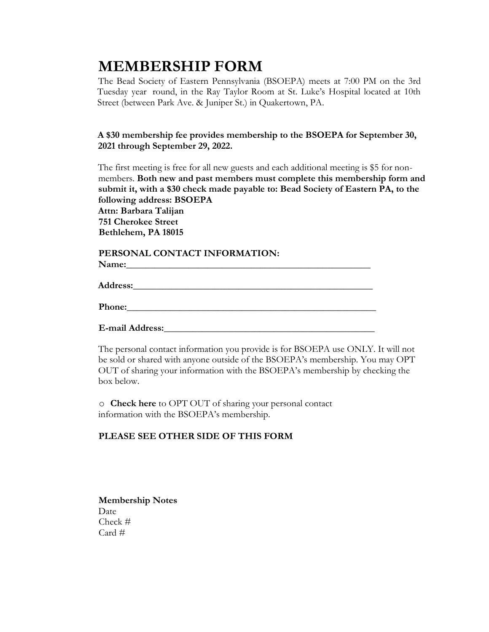# **MEMBERSHIP FORM**

The Bead Society of Eastern Pennsylvania (BSOEPA) meets at 7:00 PM on the 3rd Tuesday year round, in the Ray Taylor Room at St. Luke's Hospital located at 10th Street (between Park Ave. & Juniper St.) in Quakertown, PA.

**A \$30 membership fee provides membership to the BSOEPA for September 30, 2021 through September 29, 2022.**

The first meeting is free for all new guests and each additional meeting is \$5 for nonmembers. **Both new and past members must complete this membership form and submit it, with a \$30 check made payable to: Bead Society of Eastern PA, to the following address: BSOEPA Attn: Barbara Talijan 751 Cherokee Street Bethlehem, PA 18015**

## **PERSONAL CONTACT INFORMATION:** Name:

**Address:\_\_\_\_\_\_\_\_\_\_\_\_\_\_\_\_\_\_\_\_\_\_\_\_\_\_\_\_\_\_\_\_\_\_\_\_\_\_\_\_\_\_\_\_\_\_\_\_\_\_**

Phone:

**E-mail Address:\_\_\_\_\_\_\_\_\_\_\_\_\_\_\_\_\_\_\_\_\_\_\_\_\_\_\_\_\_\_\_\_\_\_\_\_\_\_\_\_\_\_\_\_**

The personal contact information you provide is for BSOEPA use ONLY. It will not be sold or shared with anyone outside of the BSOEPA's membership. You may OPT OUT of sharing your information with the BSOEPA's membership by checking the box below.

o **Check here** to OPT OUT of sharing your personal contact information with the BSOEPA's membership.

## **PLEASE SEE OTHER SIDE OF THIS FORM**

**Membership Notes** Date Check #  $Card \#$